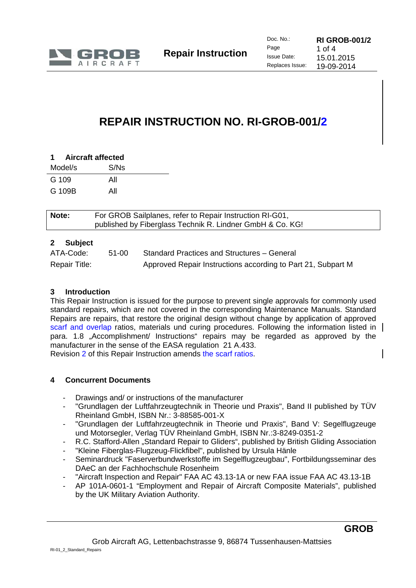

# **REPAIR INSTRUCTION NO. RI-GROB-001/2**

| 1 Aircraft affected |  |  |
|---------------------|--|--|
| S/Ns                |  |  |
| All                 |  |  |
| All                 |  |  |
|                     |  |  |

| Note: | For GROB Sailplanes, refer to Repair Instruction RI-G01,<br>published by Fiberglass Technik R. Lindner GmbH & Co. KG! |
|-------|-----------------------------------------------------------------------------------------------------------------------|
|       |                                                                                                                       |

# **2 Subject**

| ATA-Code:     | 51-00 | Standard Practices and Structures - General                  |
|---------------|-------|--------------------------------------------------------------|
| Repair Title: |       | Approved Repair Instructions according to Part 21, Subpart M |

#### **3 Introduction**

This Repair Instruction is issued for the purpose to prevent single approvals for commonly used standard repairs, which are not covered in the corresponding Maintenance Manuals. Standard Repairs are repairs, that restore the original design without change by application of approved scarf and overlap ratios, materials und curing procedures. Following the information listed in para. 1.8 "Accomplishment/ Instructions" repairs may be regarded as approved by the manufacturer in the sense of the EASA regulation 21 A.433.

Revision 2 of this Repair Instruction amends the scarf ratios.

#### **4 Concurrent Documents**

- Drawings and/ or instructions of the manufacturer
- "Grundlagen der Luftfahrzeugtechnik in Theorie und Praxis", Band II published by TÜV Rheinland GmbH, ISBN Nr.: 3-88585-001-X
- "Grundlagen der Luftfahrzeugtechnik in Theorie und Praxis", Band V: Segelflugzeuge und Motorsegler, Verlag TÜV Rheinland GmbH, ISBN Nr.:3-8249-0351-2
- R.C. Stafford-Allen "Standard Repair to Gliders", published by British Gliding Association
- "Kleine Fiberglas-Flugzeug-Flickfibel", published by Ursula Hänle
- Seminardruck "Faserverbundwerkstoffe im Segelflugzeugbau", Fortbildungsseminar des DAeC an der Fachhochschule Rosenheim
- "Aircraft Inspection and Repair" FAA AC 43.13-1A or new FAA issue FAA AC 43.13-1B
- AP 101A-0601-1 "Employment and Repair of Aircraft Composite Materials", published by the UK Military Aviation Authority.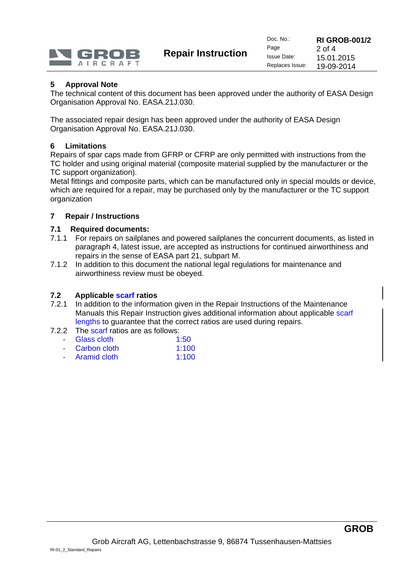

**Repair Instruction** 

# **5 Approval Note**

The technical content of this document has been approved under the authority of EASA Design Organisation Approval No. EASA.21J.030.

The associated repair design has been approved under the authority of EASA Design Organisation Approval No. EASA.21J.030.

#### **6 Limitations**

Repairs of spar caps made from GFRP or CFRP are only permitted with instructions from the TC holder and using original material (composite material supplied by the manufacturer or the TC support organization).

Metal fittings and composite parts, which can be manufactured only in special moulds or device, which are required for a repair, may be purchased only by the manufacturer or the TC support organization

## **7 Repair / Instructions**

#### **7.1 Required documents:**

- 7.1.1 For repairs on sailplanes and powered sailplanes the concurrent documents, as listed in paragraph 4, latest issue, are accepted as instructions for continued airworthiness and repairs in the sense of EASA part 21, subpart M.
- 7.1.2 In addition to this document the national legal regulations for maintenance and airworthiness review must be obeyed.

#### **7.2 Applicable scarf ratios**

- 7.2.1 In addition to the information given in the Repair Instructions of the Maintenance Manuals this Repair Instruction gives additional information about applicable scarf lengths to guarantee that the correct ratios are used during repairs.
- 7.2.2 The scarf ratios are as follows:
	- Glass cloth 1:50 Carbon cloth 1:100
	- Aramid cloth 1:100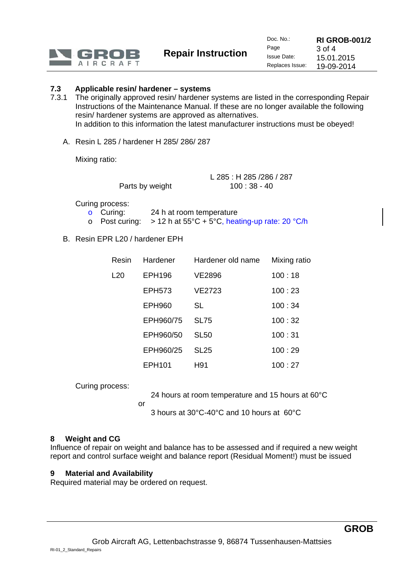

**Repair Instruction** 

# **7.3 Applicable resin/ hardener – systems**

- 7.3.1 The originally approved resin/ hardener systems are listed in the corresponding Repair Instructions of the Maintenance Manual. If these are no longer available the following resin/ hardener systems are approved as alternatives. In addition to this information the latest manufacturer instructions must be obeyed!
	- A. Resin L 285 / hardener H 285/ 286/ 287

Mixing ratio:

|                 | L 285: H 285 / 286 / 287 |
|-----------------|--------------------------|
| Parts by weight | $100:38 - 40$            |

Curing process:

- o Curing: 24 h at room temperature
- o Post curing:  $> 12 h$  at 55°C + 5°C, heating-up rate: 20 °C/h
- B. Resin EPR L20 / hardener EPH

| Resin           | Hardener      | Hardener old name | Mixing ratio |
|-----------------|---------------|-------------------|--------------|
| L <sub>20</sub> | <b>EPH196</b> | VE2896            | 100:18       |
|                 | EPH573        | VE2723            | 100:23       |
|                 | <b>EPH960</b> | SL                | 100:34       |
|                 | EPH960/75     | <b>SL75</b>       | 100:32       |
|                 | EPH960/50     | <b>SL50</b>       | 100:31       |
|                 | EPH960/25     | SL <sub>25</sub>  | 100:29       |
|                 | EPH101        | H91               | 100:27       |

Curing process:

24 hours at room temperature and 15 hours at 60°C

or

3 hours at 30°C-40°C and 10 hours at 60°C

#### **8 Weight and CG**

Influence of repair on weight and balance has to be assessed and if required a new weight report and control surface weight and balance report (Residual Moment!) must be issued

#### **9 Material and Availability**

Required material may be ordered on request.